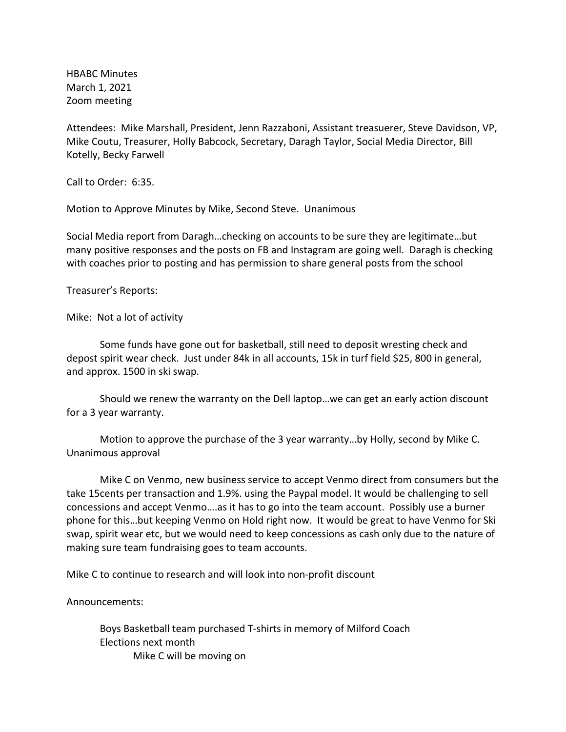HBABC Minutes March 1, 2021 Zoom meeting

Attendees: Mike Marshall, President, Jenn Razzaboni, Assistant treasuerer, Steve Davidson, VP, Mike Coutu, Treasurer, Holly Babcock, Secretary, Daragh Taylor, Social Media Director, Bill Kotelly, Becky Farwell

Call to Order: 6:35.

Motion to Approve Minutes by Mike, Second Steve. Unanimous

Social Media report from Daragh…checking on accounts to be sure they are legitimate…but many positive responses and the posts on FB and Instagram are going well. Daragh is checking with coaches prior to posting and has permission to share general posts from the school

Treasurer's Reports:

Mike: Not a lot of activity

Some funds have gone out for basketball, still need to deposit wresting check and depost spirit wear check. Just under 84k in all accounts, 15k in turf field \$25, 800 in general, and approx. 1500 in ski swap.

Should we renew the warranty on the Dell laptop…we can get an early action discount for a 3 year warranty.

Motion to approve the purchase of the 3 year warranty…by Holly, second by Mike C. Unanimous approval

Mike C on Venmo, new business service to accept Venmo direct from consumers but the take 15cents per transaction and 1.9%. using the Paypal model. It would be challenging to sell concessions and accept Venmo….as it has to go into the team account. Possibly use a burner phone for this…but keeping Venmo on Hold right now. It would be great to have Venmo for Ski swap, spirit wear etc, but we would need to keep concessions as cash only due to the nature of making sure team fundraising goes to team accounts.

Mike C to continue to research and will look into non-profit discount

Announcements:

Boys Basketball team purchased T-shirts in memory of Milford Coach Elections next month Mike C will be moving on